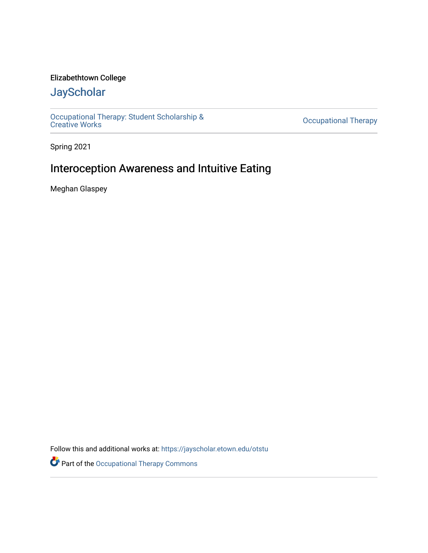## Elizabethtown College

# **JayScholar**

[Occupational Therapy: Student Scholarship &](https://jayscholar.etown.edu/otstu)  [Creative Works](https://jayscholar.etown.edu/otstu) [Occupational Therapy](https://jayscholar.etown.edu/occupationaltherapy) 

Spring 2021

# Interoception Awareness and Intuitive Eating

Meghan Glaspey

Follow this and additional works at: [https://jayscholar.etown.edu/otstu](https://jayscholar.etown.edu/otstu?utm_source=jayscholar.etown.edu%2Fotstu%2F29&utm_medium=PDF&utm_campaign=PDFCoverPages) 

Part of the [Occupational Therapy Commons](http://network.bepress.com/hgg/discipline/752?utm_source=jayscholar.etown.edu%2Fotstu%2F29&utm_medium=PDF&utm_campaign=PDFCoverPages)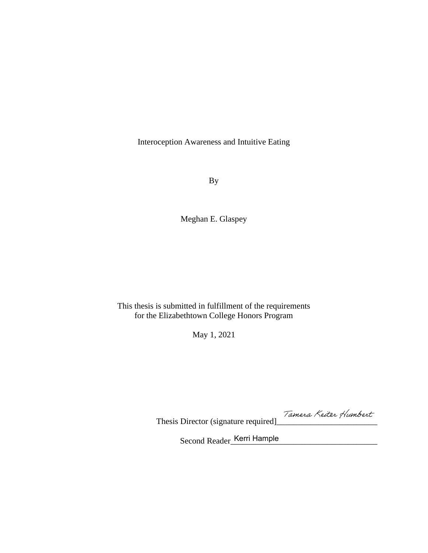Interoception Awareness and Intuitive Eating

By

Meghan E. Glaspey

## This thesis is submitted in fulfillment of the requirements for the Elizabethtown College Honors Program

May 1, 2021

Thesis Director (signature required]\_\_\_\_\_\_\_\_\_\_\_\_\_\_\_\_\_\_\_\_\_\_\_\_

Second Reader\_Kerri Hample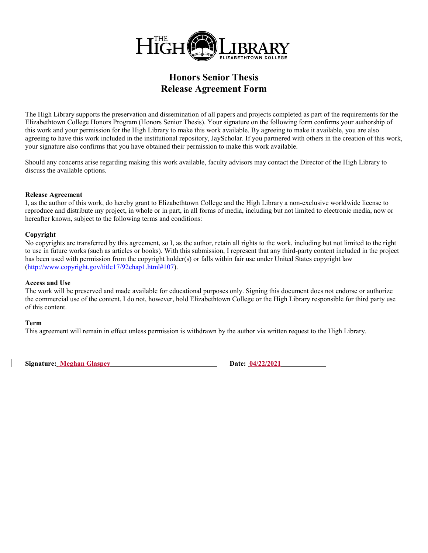

## **Honors Senior Thesis Release Agreement Form**

The High Library supports the preservation and dissemination of all papers and projects completed as part of the requirements for the Elizabethtown College Honors Program (Honors Senior Thesis). Your signature on the following form confirms your authorship of this work and your permission for the High Library to make this work available. By agreeing to make it available, you are also agreeing to have this work included in the institutional repository, JayScholar. If you partnered with others in the creation of this work, your signature also confirms that you have obtained their permission to make this work available.

Should any concerns arise regarding making this work available, faculty advisors may contact the Director of the High Library to discuss the available options.

#### **Release Agreement**

I, as the author of this work, do hereby grant to Elizabethtown College and the High Library a non-exclusive worldwide license to reproduce and distribute my project, in whole or in part, in all forms of media, including but not limited to electronic media, now or hereafter known, subject to the following terms and conditions:

#### **Copyright**

No copyrights are transferred by this agreement, so I, as the author, retain all rights to the work, including but not limited to the right to use in future works (such as articles or books). With this submission, I represent that any third-party content included in the project has been used with permission from the copyright holder(s) or falls within fair use under United States copyright law [\(http://www.copyright.gov/title17/92chap1.html#107\)](http://www.copyright.gov/title17/92chap1.html#107).

#### **Access and Use**

The work will be preserved and made available for educational purposes only. Signing this document does not endorse or authorize the commercial use of the content. I do not, however, hold Elizabethtown College or the High Library responsible for third party use of this content.

#### **Term**

This agreement will remain in effect unless permission is withdrawn by the author via written request to the High Library.

**Signature: Meghan Glaspey Date: 04/22/2021**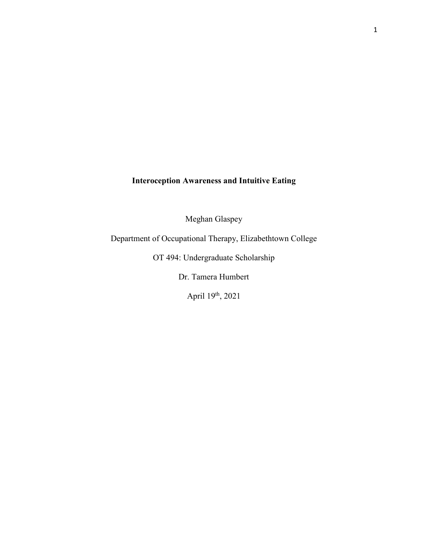## **Interoception Awareness and Intuitive Eating**

Meghan Glaspey

Department of Occupational Therapy, Elizabethtown College

OT 494: Undergraduate Scholarship

Dr. Tamera Humbert

April 19th, 2021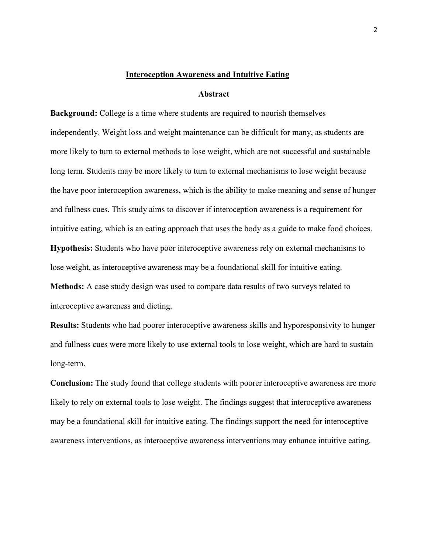#### **Interoception Awareness and Intuitive Eating**

#### **Abstract**

**Background:** College is a time where students are required to nourish themselves independently. Weight loss and weight maintenance can be difficult for many, as students are more likely to turn to external methods to lose weight, which are not successful and sustainable long term. Students may be more likely to turn to external mechanisms to lose weight because the have poor interoception awareness, which is the ability to make meaning and sense of hunger and fullness cues. This study aims to discover if interoception awareness is a requirement for intuitive eating, which is an eating approach that uses the body as a guide to make food choices. **Hypothesis:** Students who have poor interoceptive awareness rely on external mechanisms to

**Methods:** A case study design was used to compare data results of two surveys related to interoceptive awareness and dieting.

lose weight, as interoceptive awareness may be a foundational skill for intuitive eating.

**Results:** Students who had poorer interoceptive awareness skills and hyporesponsivity to hunger and fullness cues were more likely to use external tools to lose weight, which are hard to sustain long-term.

**Conclusion:** The study found that college students with poorer interoceptive awareness are more likely to rely on external tools to lose weight. The findings suggest that interoceptive awareness may be a foundational skill for intuitive eating. The findings support the need for interoceptive awareness interventions, as interoceptive awareness interventions may enhance intuitive eating.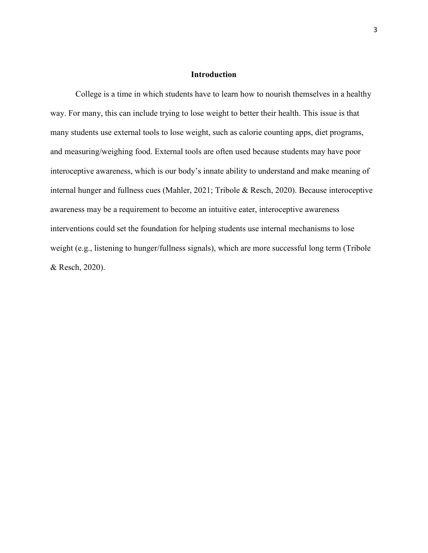#### **Introduction**

College is a time in which students have to learn how to nourish themselves in a healthy way. For many, this can include trying to lose weight to better their health. This issue is that many students use external tools to lose weight, such as calorie counting apps, diet programs, and measuring/weighing food. External tools are often used because students may have poor interoceptive awareness, which is our body's innate ability to understand and make meaning of internal hunger and fullness cues (Mahler, 2021; Tribole & Resch, 2020). Because interoceptive awareness may be a requirement to become an intuitive eater, interoceptive awareness interventions could set the foundation for helping students use internal mechanisms to lose weight (e.g., listening to hunger/fullness signals), which are more successful long term (Tribole & Resch, 2020).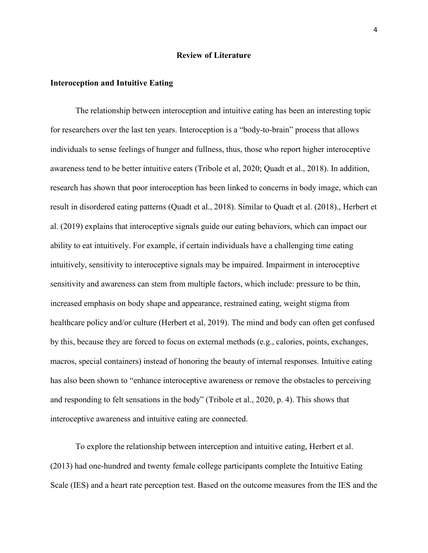#### **Review of Literature**

#### **Interoception and Intuitive Eating**

The relationship between interoception and intuitive eating has been an interesting topic for researchers over the last ten years. Interoception is a "body-to-brain" process that allows individuals to sense feelings of hunger and fullness, thus, those who report higher interoceptive awareness tend to be better intuitive eaters (Tribole et al, 2020; Quadt et al., 2018). In addition, research has shown that poor interoception has been linked to concerns in body image, which can result in disordered eating patterns (Quadt et al., 2018). Similar to Quadt et al. (2018)., Herbert et al. (2019) explains that interoceptive signals guide our eating behaviors, which can impact our ability to eat intuitively. For example, if certain individuals have a challenging time eating intuitively, sensitivity to interoceptive signals may be impaired. Impairment in interoceptive sensitivity and awareness can stem from multiple factors, which include: pressure to be thin, increased emphasis on body shape and appearance, restrained eating, weight stigma from healthcare policy and/or culture (Herbert et al, 2019). The mind and body can often get confused by this, because they are forced to focus on external methods (e.g., calories, points, exchanges, macros, special containers) instead of honoring the beauty of internal responses. Intuitive eating has also been shown to "enhance interoceptive awareness or remove the obstacles to perceiving and responding to felt sensations in the body" (Tribole et al., 2020, p. 4). This shows that interoceptive awareness and intuitive eating are connected.

 To explore the relationship between interception and intuitive eating, Herbert et al. (2013) had one-hundred and twenty female college participants complete the Intuitive Eating Scale (IES) and a heart rate perception test. Based on the outcome measures from the IES and the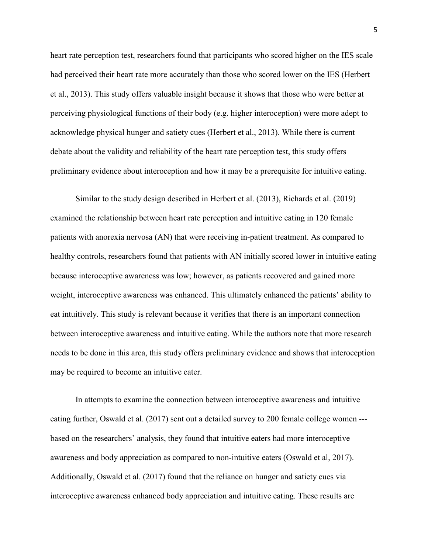heart rate perception test, researchers found that participants who scored higher on the IES scale had perceived their heart rate more accurately than those who scored lower on the IES (Herbert et al., 2013). This study offers valuable insight because it shows that those who were better at perceiving physiological functions of their body (e.g. higher interoception) were more adept to acknowledge physical hunger and satiety cues (Herbert et al., 2013). While there is current debate about the validity and reliability of the heart rate perception test, this study offers preliminary evidence about interoception and how it may be a prerequisite for intuitive eating.

 Similar to the study design described in Herbert et al. (2013), Richards et al. (2019) examined the relationship between heart rate perception and intuitive eating in 120 female patients with anorexia nervosa (AN) that were receiving in-patient treatment. As compared to healthy controls, researchers found that patients with AN initially scored lower in intuitive eating because interoceptive awareness was low; however, as patients recovered and gained more weight, interoceptive awareness was enhanced. This ultimately enhanced the patients' ability to eat intuitively. This study is relevant because it verifies that there is an important connection between interoceptive awareness and intuitive eating. While the authors note that more research needs to be done in this area, this study offers preliminary evidence and shows that interoception may be required to become an intuitive eater.

 In attempts to examine the connection between interoceptive awareness and intuitive eating further, Oswald et al. (2017) sent out a detailed survey to 200 female college women -- based on the researchers' analysis, they found that intuitive eaters had more interoceptive awareness and body appreciation as compared to non-intuitive eaters (Oswald et al, 2017). Additionally, Oswald et al. (2017) found that the reliance on hunger and satiety cues via interoceptive awareness enhanced body appreciation and intuitive eating. These results are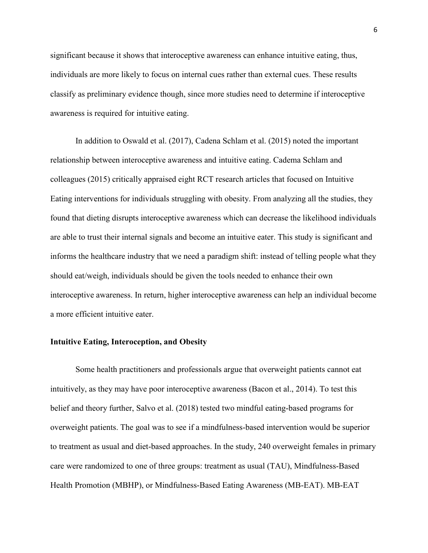significant because it shows that interoceptive awareness can enhance intuitive eating, thus, individuals are more likely to focus on internal cues rather than external cues. These results classify as preliminary evidence though, since more studies need to determine if interoceptive awareness is required for intuitive eating.

 In addition to Oswald et al. (2017), Cadena Schlam et al. (2015) noted the important relationship between interoceptive awareness and intuitive eating. Cadema Schlam and colleagues (2015) critically appraised eight RCT research articles that focused on Intuitive Eating interventions for individuals struggling with obesity. From analyzing all the studies, they found that dieting disrupts interoceptive awareness which can decrease the likelihood individuals are able to trust their internal signals and become an intuitive eater. This study is significant and informs the healthcare industry that we need a paradigm shift: instead of telling people what they should eat/weigh, individuals should be given the tools needed to enhance their own interoceptive awareness. In return, higher interoceptive awareness can help an individual become a more efficient intuitive eater.

#### **Intuitive Eating, Interoception, and Obesity**

Some health practitioners and professionals argue that overweight patients cannot eat intuitively, as they may have poor interoceptive awareness (Bacon et al., 2014). To test this belief and theory further, Salvo et al. (2018) tested two mindful eating-based programs for overweight patients. The goal was to see if a mindfulness-based intervention would be superior to treatment as usual and diet-based approaches. In the study, 240 overweight females in primary care were randomized to one of three groups: treatment as usual (TAU), Mindfulness-Based Health Promotion (MBHP), or Mindfulness-Based Eating Awareness (MB-EAT). MB-EAT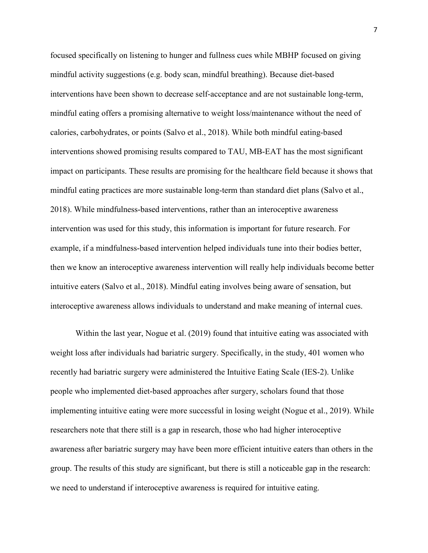focused specifically on listening to hunger and fullness cues while MBHP focused on giving mindful activity suggestions (e.g. body scan, mindful breathing). Because diet-based interventions have been shown to decrease self-acceptance and are not sustainable long-term, mindful eating offers a promising alternative to weight loss/maintenance without the need of calories, carbohydrates, or points (Salvo et al., 2018). While both mindful eating-based interventions showed promising results compared to TAU, MB-EAT has the most significant impact on participants. These results are promising for the healthcare field because it shows that mindful eating practices are more sustainable long-term than standard diet plans (Salvo et al., 2018). While mindfulness-based interventions, rather than an interoceptive awareness intervention was used for this study, this information is important for future research. For example, if a mindfulness-based intervention helped individuals tune into their bodies better, then we know an interoceptive awareness intervention will really help individuals become better intuitive eaters (Salvo et al., 2018). Mindful eating involves being aware of sensation, but interoceptive awareness allows individuals to understand and make meaning of internal cues.

Within the last year, Nogue et al. (2019) found that intuitive eating was associated with weight loss after individuals had bariatric surgery. Specifically, in the study, 401 women who recently had bariatric surgery were administered the Intuitive Eating Scale (IES-2). Unlike people who implemented diet-based approaches after surgery, scholars found that those implementing intuitive eating were more successful in losing weight (Nogue et al., 2019). While researchers note that there still is a gap in research, those who had higher interoceptive awareness after bariatric surgery may have been more efficient intuitive eaters than others in the group. The results of this study are significant, but there is still a noticeable gap in the research: we need to understand if interoceptive awareness is required for intuitive eating.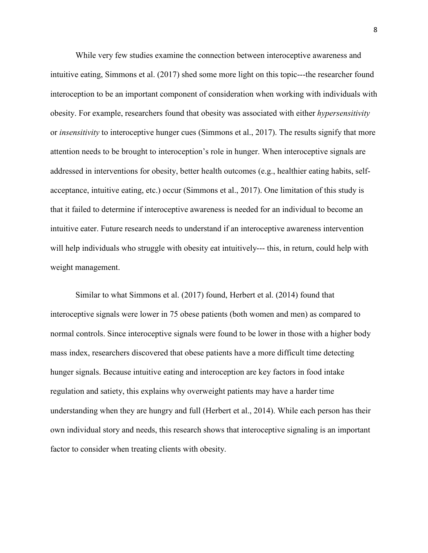While very few studies examine the connection between interoceptive awareness and intuitive eating, Simmons et al. (2017) shed some more light on this topic---the researcher found interoception to be an important component of consideration when working with individuals with obesity. For example, researchers found that obesity was associated with either *hypersensitivity*  or *insensitivity* to interoceptive hunger cues (Simmons et al., 2017). The results signify that more attention needs to be brought to interoception's role in hunger. When interoceptive signals are addressed in interventions for obesity, better health outcomes (e.g., healthier eating habits, selfacceptance, intuitive eating, etc.) occur (Simmons et al., 2017). One limitation of this study is that it failed to determine if interoceptive awareness is needed for an individual to become an intuitive eater. Future research needs to understand if an interoceptive awareness intervention will help individuals who struggle with obesity eat intuitively--- this, in return, could help with weight management.

Similar to what Simmons et al. (2017) found, Herbert et al. (2014) found that interoceptive signals were lower in 75 obese patients (both women and men) as compared to normal controls. Since interoceptive signals were found to be lower in those with a higher body mass index, researchers discovered that obese patients have a more difficult time detecting hunger signals. Because intuitive eating and interoception are key factors in food intake regulation and satiety, this explains why overweight patients may have a harder time understanding when they are hungry and full (Herbert et al., 2014). While each person has their own individual story and needs, this research shows that interoceptive signaling is an important factor to consider when treating clients with obesity.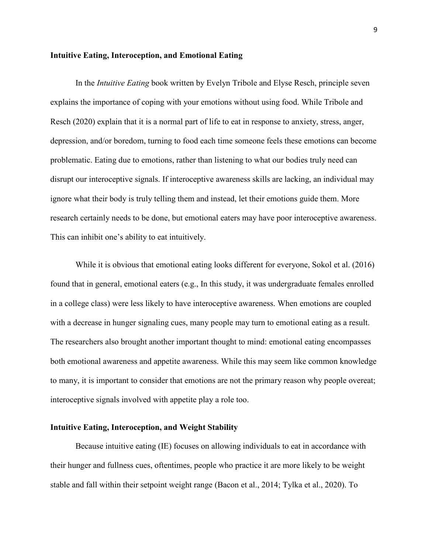#### **Intuitive Eating, Interoception, and Emotional Eating**

In the *Intuitive Eating* book written by Evelyn Tribole and Elyse Resch, principle seven explains the importance of coping with your emotions without using food. While Tribole and Resch (2020) explain that it is a normal part of life to eat in response to anxiety, stress, anger, depression, and/or boredom, turning to food each time someone feels these emotions can become problematic. Eating due to emotions, rather than listening to what our bodies truly need can disrupt our interoceptive signals. If interoceptive awareness skills are lacking, an individual may ignore what their body is truly telling them and instead, let their emotions guide them. More research certainly needs to be done, but emotional eaters may have poor interoceptive awareness. This can inhibit one's ability to eat intuitively.

While it is obvious that emotional eating looks different for everyone, Sokol et al. (2016) found that in general, emotional eaters (e.g., In this study, it was undergraduate females enrolled in a college class) were less likely to have interoceptive awareness. When emotions are coupled with a decrease in hunger signaling cues, many people may turn to emotional eating as a result. The researchers also brought another important thought to mind: emotional eating encompasses both emotional awareness and appetite awareness. While this may seem like common knowledge to many, it is important to consider that emotions are not the primary reason why people overeat; interoceptive signals involved with appetite play a role too.

#### **Intuitive Eating, Interoception, and Weight Stability**

Because intuitive eating (IE) focuses on allowing individuals to eat in accordance with their hunger and fullness cues, oftentimes, people who practice it are more likely to be weight stable and fall within their setpoint weight range (Bacon et al., 2014; Tylka et al., 2020). To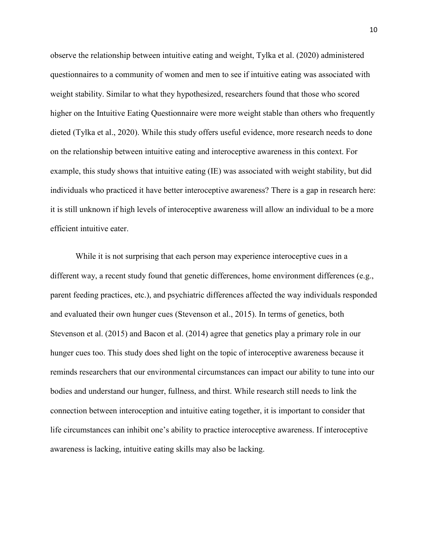observe the relationship between intuitive eating and weight, Tylka et al. (2020) administered questionnaires to a community of women and men to see if intuitive eating was associated with weight stability. Similar to what they hypothesized, researchers found that those who scored higher on the Intuitive Eating Questionnaire were more weight stable than others who frequently dieted (Tylka et al., 2020). While this study offers useful evidence, more research needs to done on the relationship between intuitive eating and interoceptive awareness in this context. For example, this study shows that intuitive eating (IE) was associated with weight stability, but did individuals who practiced it have better interoceptive awareness? There is a gap in research here: it is still unknown if high levels of interoceptive awareness will allow an individual to be a more efficient intuitive eater.

While it is not surprising that each person may experience interoceptive cues in a different way, a recent study found that genetic differences, home environment differences (e.g., parent feeding practices, etc.), and psychiatric differences affected the way individuals responded and evaluated their own hunger cues (Stevenson et al., 2015). In terms of genetics, both Stevenson et al. (2015) and Bacon et al. (2014) agree that genetics play a primary role in our hunger cues too. This study does shed light on the topic of interoceptive awareness because it reminds researchers that our environmental circumstances can impact our ability to tune into our bodies and understand our hunger, fullness, and thirst. While research still needs to link the connection between interoception and intuitive eating together, it is important to consider that life circumstances can inhibit one's ability to practice interoceptive awareness. If interoceptive awareness is lacking, intuitive eating skills may also be lacking.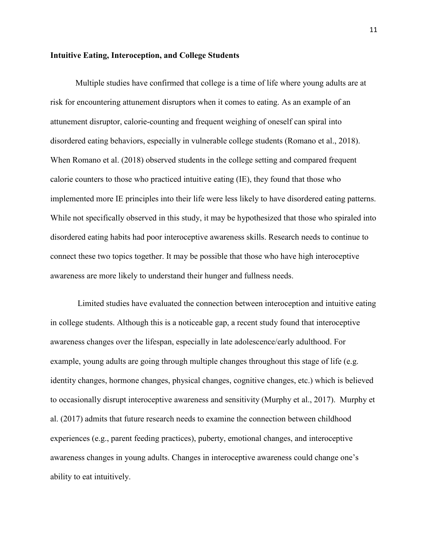#### **Intuitive Eating, Interoception, and College Students**

Multiple studies have confirmed that college is a time of life where young adults are at risk for encountering attunement disruptors when it comes to eating. As an example of an attunement disruptor, calorie-counting and frequent weighing of oneself can spiral into disordered eating behaviors, especially in vulnerable college students (Romano et al., 2018). When Romano et al. (2018) observed students in the college setting and compared frequent calorie counters to those who practiced intuitive eating (IE), they found that those who implemented more IE principles into their life were less likely to have disordered eating patterns. While not specifically observed in this study, it may be hypothesized that those who spiraled into disordered eating habits had poor interoceptive awareness skills. Research needs to continue to connect these two topics together. It may be possible that those who have high interoceptive awareness are more likely to understand their hunger and fullness needs.

 Limited studies have evaluated the connection between interoception and intuitive eating in college students. Although this is a noticeable gap, a recent study found that interoceptive awareness changes over the lifespan, especially in late adolescence/early adulthood. For example, young adults are going through multiple changes throughout this stage of life (e.g. identity changes, hormone changes, physical changes, cognitive changes, etc.) which is believed to occasionally disrupt interoceptive awareness and sensitivity (Murphy et al., 2017). Murphy et al. (2017) admits that future research needs to examine the connection between childhood experiences (e.g., parent feeding practices), puberty, emotional changes, and interoceptive awareness changes in young adults. Changes in interoceptive awareness could change one's ability to eat intuitively.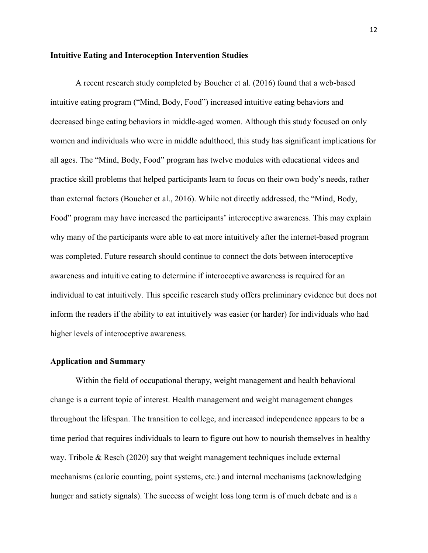#### **Intuitive Eating and Interoception Intervention Studies**

 A recent research study completed by Boucher et al. (2016) found that a web-based intuitive eating program ("Mind, Body, Food") increased intuitive eating behaviors and decreased binge eating behaviors in middle-aged women. Although this study focused on only women and individuals who were in middle adulthood, this study has significant implications for all ages. The "Mind, Body, Food" program has twelve modules with educational videos and practice skill problems that helped participants learn to focus on their own body's needs, rather than external factors (Boucher et al., 2016). While not directly addressed, the "Mind, Body, Food" program may have increased the participants' interoceptive awareness. This may explain why many of the participants were able to eat more intuitively after the internet-based program was completed. Future research should continue to connect the dots between interoceptive awareness and intuitive eating to determine if interoceptive awareness is required for an individual to eat intuitively. This specific research study offers preliminary evidence but does not inform the readers if the ability to eat intuitively was easier (or harder) for individuals who had higher levels of interoceptive awareness.

#### **Application and Summary**

Within the field of occupational therapy, weight management and health behavioral change is a current topic of interest. Health management and weight management changes throughout the lifespan. The transition to college, and increased independence appears to be a time period that requires individuals to learn to figure out how to nourish themselves in healthy way. Tribole & Resch  $(2020)$  say that weight management techniques include external mechanisms (calorie counting, point systems, etc.) and internal mechanisms (acknowledging hunger and satiety signals). The success of weight loss long term is of much debate and is a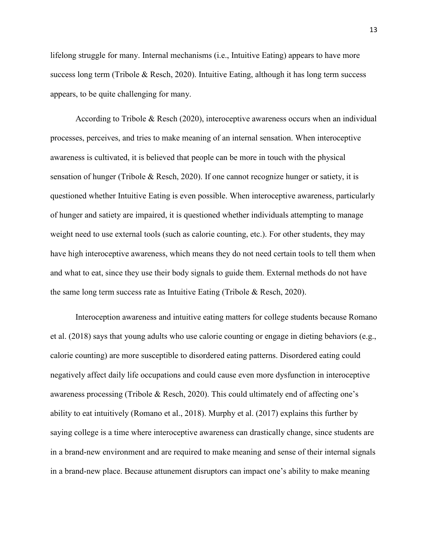lifelong struggle for many. Internal mechanisms (i.e., Intuitive Eating) appears to have more success long term (Tribole & Resch, 2020). Intuitive Eating, although it has long term success appears, to be quite challenging for many.

According to Tribole & Resch (2020), interoceptive awareness occurs when an individual processes, perceives, and tries to make meaning of an internal sensation. When interoceptive awareness is cultivated, it is believed that people can be more in touch with the physical sensation of hunger (Tribole & Resch, 2020). If one cannot recognize hunger or satiety, it is questioned whether Intuitive Eating is even possible. When interoceptive awareness, particularly of hunger and satiety are impaired, it is questioned whether individuals attempting to manage weight need to use external tools (such as calorie counting, etc.). For other students, they may have high interoceptive awareness, which means they do not need certain tools to tell them when and what to eat, since they use their body signals to guide them. External methods do not have the same long term success rate as Intuitive Eating (Tribole & Resch, 2020).

Interoception awareness and intuitive eating matters for college students because Romano et al. (2018) says that young adults who use calorie counting or engage in dieting behaviors (e.g., calorie counting) are more susceptible to disordered eating patterns. Disordered eating could negatively affect daily life occupations and could cause even more dysfunction in interoceptive awareness processing (Tribole & Resch, 2020). This could ultimately end of affecting one's ability to eat intuitively (Romano et al., 2018). Murphy et al. (2017) explains this further by saying college is a time where interoceptive awareness can drastically change, since students are in a brand-new environment and are required to make meaning and sense of their internal signals in a brand-new place. Because attunement disruptors can impact one's ability to make meaning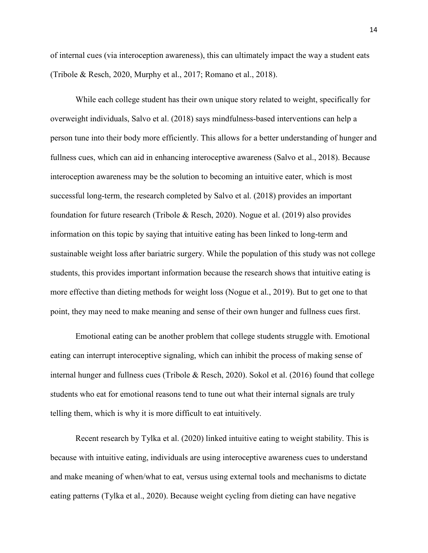of internal cues (via interoception awareness), this can ultimately impact the way a student eats (Tribole & Resch, 2020, Murphy et al., 2017; Romano et al., 2018).

While each college student has their own unique story related to weight, specifically for overweight individuals, Salvo et al. (2018) says mindfulness-based interventions can help a person tune into their body more efficiently. This allows for a better understanding of hunger and fullness cues, which can aid in enhancing interoceptive awareness (Salvo et al., 2018). Because interoception awareness may be the solution to becoming an intuitive eater, which is most successful long-term, the research completed by Salvo et al. (2018) provides an important foundation for future research (Tribole & Resch, 2020). Nogue et al. (2019) also provides information on this topic by saying that intuitive eating has been linked to long-term and sustainable weight loss after bariatric surgery. While the population of this study was not college students, this provides important information because the research shows that intuitive eating is more effective than dieting methods for weight loss (Nogue et al., 2019). But to get one to that point, they may need to make meaning and sense of their own hunger and fullness cues first.

Emotional eating can be another problem that college students struggle with. Emotional eating can interrupt interoceptive signaling, which can inhibit the process of making sense of internal hunger and fullness cues (Tribole & Resch, 2020). Sokol et al. (2016) found that college students who eat for emotional reasons tend to tune out what their internal signals are truly telling them, which is why it is more difficult to eat intuitively.

Recent research by Tylka et al. (2020) linked intuitive eating to weight stability. This is because with intuitive eating, individuals are using interoceptive awareness cues to understand and make meaning of when/what to eat, versus using external tools and mechanisms to dictate eating patterns (Tylka et al., 2020). Because weight cycling from dieting can have negative

14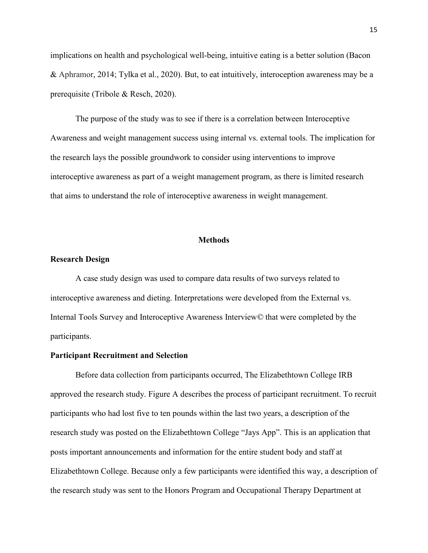implications on health and psychological well-being, intuitive eating is a better solution (Bacon & Aphramor, 2014; Tylka et al., 2020). But, to eat intuitively, interoception awareness may be a prerequisite (Tribole & Resch, 2020).

The purpose of the study was to see if there is a correlation between Interoceptive Awareness and weight management success using internal vs. external tools. The implication for the research lays the possible groundwork to consider using interventions to improve interoceptive awareness as part of a weight management program, as there is limited research that aims to understand the role of interoceptive awareness in weight management.

#### **Methods**

#### **Research Design**

A case study design was used to compare data results of two surveys related to interoceptive awareness and dieting. Interpretations were developed from the External vs. Internal Tools Survey and Interoceptive Awareness Interview*©* that were completed by the participants.

#### **Participant Recruitment and Selection**

Before data collection from participants occurred, The Elizabethtown College IRB approved the research study. Figure A describes the process of participant recruitment. To recruit participants who had lost five to ten pounds within the last two years, a description of the research study was posted on the Elizabethtown College "Jays App". This is an application that posts important announcements and information for the entire student body and staff at Elizabethtown College. Because only a few participants were identified this way, a description of the research study was sent to the Honors Program and Occupational Therapy Department at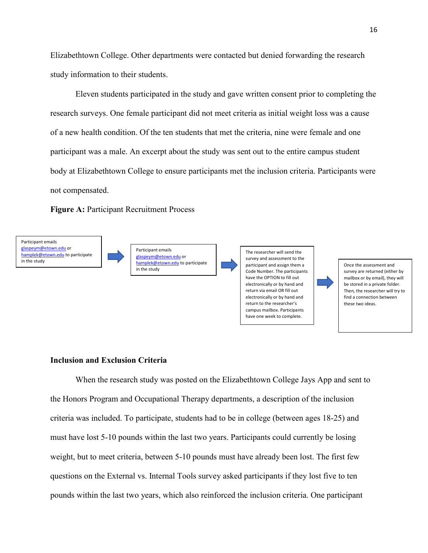Elizabethtown College. Other departments were contacted but denied forwarding the research study information to their students.

Eleven students participated in the study and gave written consent prior to completing the research surveys. One female participant did not meet criteria as initial weight loss was a cause of a new health condition. Of the ten students that met the criteria, nine were female and one participant was a male. An excerpt about the study was sent out to the entire campus student body at Elizabethtown College to ensure participants met the inclusion criteria. Participants were not compensated.

**Figure A:** Participant Recruitment Process





Participant emails [glaspeym@etown.edu](mailto:glaspeym@etown.edu) or [hamplek@etown.edu](mailto:hamplek@etown.edu) to participate in the study

The researcher will send the survey and assessment to the participant and assign them a Code Number. The participants have the OPTION to fill out electronically or by hand and return via email OR fill out electronically or by hand and return to the researcher's campus mailbox. Participants have one week to complete.

Once the assessment and survey are returned (either by mailbox or by email), they will be stored in a private folder. Then, the researcher will try to find a connection between these two ideas.

#### **Inclusion and Exclusion Criteria**

When the research study was posted on the Elizabethtown College Jays App and sent to the Honors Program and Occupational Therapy departments, a description of the inclusion criteria was included. To participate, students had to be in college (between ages 18-25) and must have lost 5-10 pounds within the last two years. Participants could currently be losing weight, but to meet criteria, between 5-10 pounds must have already been lost. The first few questions on the External vs. Internal Tools survey asked participants if they lost five to ten pounds within the last two years, which also reinforced the inclusion criteria. One participant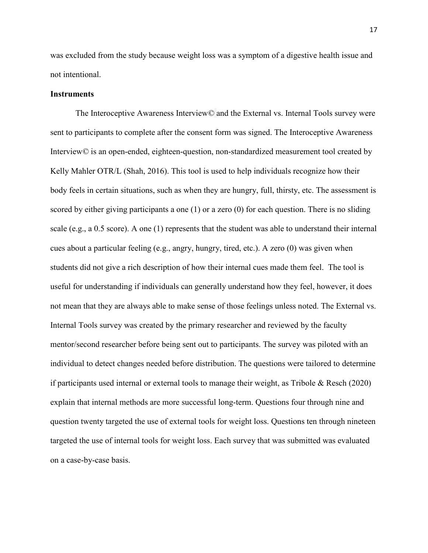was excluded from the study because weight loss was a symptom of a digestive health issue and not intentional.

#### **Instruments**

The Interoceptive Awareness Interview© and the External vs. Internal Tools survey were sent to participants to complete after the consent form was signed. The Interoceptive Awareness Interview*©* is an open-ended, eighteen-question, non-standardized measurement tool created by Kelly Mahler OTR/L (Shah, 2016). This tool is used to help individuals recognize how their body feels in certain situations, such as when they are hungry, full, thirsty, etc. The assessment is scored by either giving participants a one (1) or a zero (0) for each question. There is no sliding scale (e.g., a 0.5 score). A one (1) represents that the student was able to understand their internal cues about a particular feeling (e.g., angry, hungry, tired, etc.). A zero  $(0)$  was given when students did not give a rich description of how their internal cues made them feel. The tool is useful for understanding if individuals can generally understand how they feel, however, it does not mean that they are always able to make sense of those feelings unless noted. The External vs. Internal Tools survey was created by the primary researcher and reviewed by the faculty mentor/second researcher before being sent out to participants. The survey was piloted with an individual to detect changes needed before distribution. The questions were tailored to determine if participants used internal or external tools to manage their weight, as Tribole  $\&$  Resch (2020) explain that internal methods are more successful long-term. Questions four through nine and question twenty targeted the use of external tools for weight loss. Questions ten through nineteen targeted the use of internal tools for weight loss. Each survey that was submitted was evaluated on a case-by-case basis.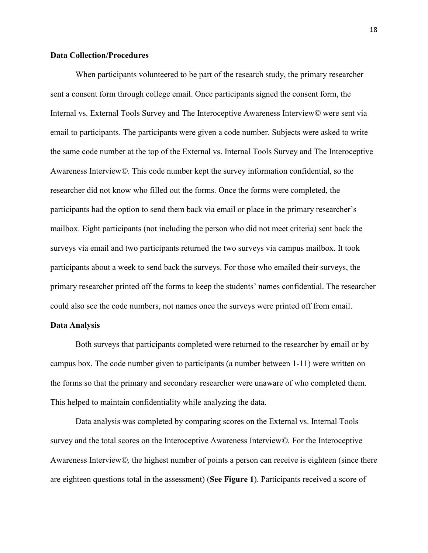#### **Data Collection/Procedures**

When participants volunteered to be part of the research study, the primary researcher sent a consent form through college email. Once participants signed the consent form, the Internal vs. External Tools Survey and The Interoceptive Awareness Interview*©* were sent via email to participants. The participants were given a code number. Subjects were asked to write the same code number at the top of the External vs. Internal Tools Survey and The Interoceptive Awareness Interview*©.* This code number kept the survey information confidential, so the researcher did not know who filled out the forms. Once the forms were completed, the participants had the option to send them back via email or place in the primary researcher's mailbox. Eight participants (not including the person who did not meet criteria) sent back the surveys via email and two participants returned the two surveys via campus mailbox. It took participants about a week to send back the surveys. For those who emailed their surveys, the primary researcher printed off the forms to keep the students' names confidential. The researcher could also see the code numbers, not names once the surveys were printed off from email.

#### **Data Analysis**

Both surveys that participants completed were returned to the researcher by email or by campus box. The code number given to participants (a number between 1-11) were written on the forms so that the primary and secondary researcher were unaware of who completed them. This helped to maintain confidentiality while analyzing the data.

Data analysis was completed by comparing scores on the External vs. Internal Tools survey and the total scores on the Interoceptive Awareness Interview*©.* For the Interoceptive Awareness Interview*©,* the highest number of points a person can receive is eighteen (since there are eighteen questions total in the assessment) (**See Figure 1**). Participants received a score of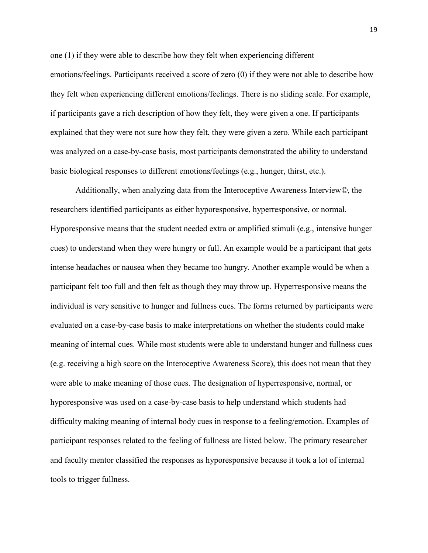one (1) if they were able to describe how they felt when experiencing different emotions/feelings. Participants received a score of zero (0) if they were not able to describe how they felt when experiencing different emotions/feelings. There is no sliding scale. For example, if participants gave a rich description of how they felt, they were given a one. If participants explained that they were not sure how they felt, they were given a zero. While each participant was analyzed on a case-by-case basis, most participants demonstrated the ability to understand basic biological responses to different emotions/feelings (e.g., hunger, thirst, etc.).

Additionally, when analyzing data from the Interoceptive Awareness Interview*©*, the researchers identified participants as either hyporesponsive, hyperresponsive, or normal. Hyporesponsive means that the student needed extra or amplified stimuli (e.g., intensive hunger cues) to understand when they were hungry or full. An example would be a participant that gets intense headaches or nausea when they became too hungry. Another example would be when a participant felt too full and then felt as though they may throw up. Hyperresponsive means the individual is very sensitive to hunger and fullness cues. The forms returned by participants were evaluated on a case-by-case basis to make interpretations on whether the students could make meaning of internal cues. While most students were able to understand hunger and fullness cues (e.g. receiving a high score on the Interoceptive Awareness Score), this does not mean that they were able to make meaning of those cues. The designation of hyperresponsive, normal, or hyporesponsive was used on a case-by-case basis to help understand which students had difficulty making meaning of internal body cues in response to a feeling/emotion. Examples of participant responses related to the feeling of fullness are listed below. The primary researcher and faculty mentor classified the responses as hyporesponsive because it took a lot of internal tools to trigger fullness.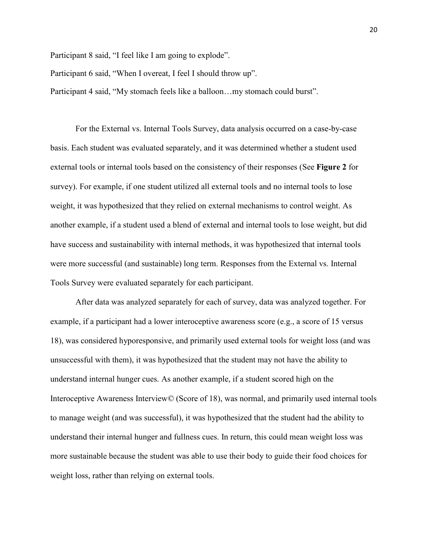Participant 8 said, "I feel like I am going to explode".

Participant 6 said, "When I overeat, I feel I should throw up".

Participant 4 said, "My stomach feels like a balloon…my stomach could burst".

For the External vs. Internal Tools Survey, data analysis occurred on a case-by-case basis. Each student was evaluated separately, and it was determined whether a student used external tools or internal tools based on the consistency of their responses (See **Figure 2** for survey). For example, if one student utilized all external tools and no internal tools to lose weight, it was hypothesized that they relied on external mechanisms to control weight. As another example, if a student used a blend of external and internal tools to lose weight, but did have success and sustainability with internal methods, it was hypothesized that internal tools were more successful (and sustainable) long term. Responses from the External vs. Internal Tools Survey were evaluated separately for each participant.

After data was analyzed separately for each of survey, data was analyzed together. For example, if a participant had a lower interoceptive awareness score (e.g., a score of 15 versus 18), was considered hyporesponsive, and primarily used external tools for weight loss (and was unsuccessful with them), it was hypothesized that the student may not have the ability to understand internal hunger cues. As another example, if a student scored high on the Interoceptive Awareness Interview*©* (Score of 18), was normal, and primarily used internal tools to manage weight (and was successful), it was hypothesized that the student had the ability to understand their internal hunger and fullness cues. In return, this could mean weight loss was more sustainable because the student was able to use their body to guide their food choices for weight loss, rather than relying on external tools.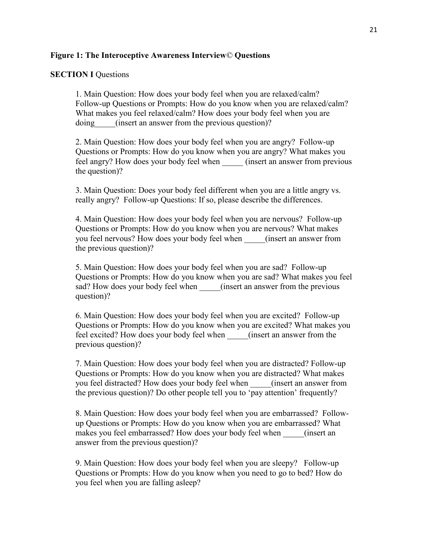#### **Figure 1: The Interoceptive Awareness Interview***©* **Questions**

#### **SECTION I Questions**

1. Main Question: How does your body feel when you are relaxed/calm? Follow-up Questions or Prompts: How do you know when you are relaxed/calm? What makes you feel relaxed/calm? How does your body feel when you are doing (insert an answer from the previous question)?

2. Main Question: How does your body feel when you are angry? Follow-up Questions or Prompts: How do you know when you are angry? What makes you feel angry? How does your body feel when \_\_\_\_\_ (insert an answer from previous the question)?

3. Main Question: Does your body feel different when you are a little angry vs. really angry? Follow-up Questions: If so, please describe the differences.

4. Main Question: How does your body feel when you are nervous? Follow-up Questions or Prompts: How do you know when you are nervous? What makes you feel nervous? How does your body feel when \_\_\_\_\_(insert an answer from the previous question)?

5. Main Question: How does your body feel when you are sad? Follow-up Questions or Prompts: How do you know when you are sad? What makes you feel sad? How does your body feel when (insert an answer from the previous question)?

6. Main Question: How does your body feel when you are excited? Follow-up Questions or Prompts: How do you know when you are excited? What makes you feel excited? How does your body feel when \_\_\_\_\_(insert an answer from the previous question)?

7. Main Question: How does your body feel when you are distracted? Follow-up Questions or Prompts: How do you know when you are distracted? What makes you feel distracted? How does your body feel when \_\_\_\_\_(insert an answer from the previous question)? Do other people tell you to 'pay attention' frequently?

8. Main Question: How does your body feel when you are embarrassed? Followup Questions or Prompts: How do you know when you are embarrassed? What makes you feel embarrassed? How does your body feel when \_\_\_\_\_(insert an answer from the previous question)?

9. Main Question: How does your body feel when you are sleepy? Follow-up Questions or Prompts: How do you know when you need to go to bed? How do you feel when you are falling asleep?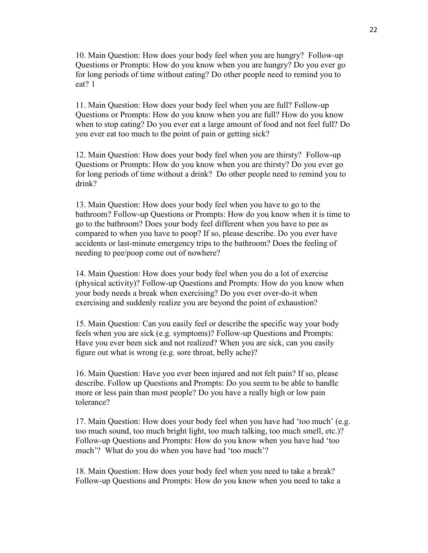10. Main Question: How does your body feel when you are hungry? Follow-up Questions or Prompts: How do you know when you are hungry? Do you ever go for long periods of time without eating? Do other people need to remind you to eat? 1

11. Main Question: How does your body feel when you are full? Follow-up Questions or Prompts: How do you know when you are full? How do you know when to stop eating? Do you ever eat a large amount of food and not feel full? Do you ever eat too much to the point of pain or getting sick?

12. Main Question: How does your body feel when you are thirsty? Follow-up Questions or Prompts: How do you know when you are thirsty? Do you ever go for long periods of time without a drink? Do other people need to remind you to drink?

13. Main Question: How does your body feel when you have to go to the bathroom? Follow-up Questions or Prompts: How do you know when it is time to go to the bathroom? Does your body feel different when you have to pee as compared to when you have to poop? If so, please describe. Do you ever have accidents or last-minute emergency trips to the bathroom? Does the feeling of needing to pee/poop come out of nowhere?

14. Main Question: How does your body feel when you do a lot of exercise (physical activity)? Follow-up Questions and Prompts: How do you know when your body needs a break when exercising? Do you ever over-do-it when exercising and suddenly realize you are beyond the point of exhaustion?

15. Main Question: Can you easily feel or describe the specific way your body feels when you are sick (e.g. symptoms)? Follow-up Questions and Prompts: Have you ever been sick and not realized? When you are sick, can you easily figure out what is wrong (e.g. sore throat, belly ache)?

16. Main Question: Have you ever been injured and not felt pain? If so, please describe. Follow up Questions and Prompts: Do you seem to be able to handle more or less pain than most people? Do you have a really high or low pain tolerance?

17. Main Question: How does your body feel when you have had 'too much' (e.g. too much sound, too much bright light, too much talking, too much smell, etc.)? Follow-up Questions and Prompts: How do you know when you have had 'too much'? What do you do when you have had 'too much'?

18. Main Question: How does your body feel when you need to take a break? Follow-up Questions and Prompts: How do you know when you need to take a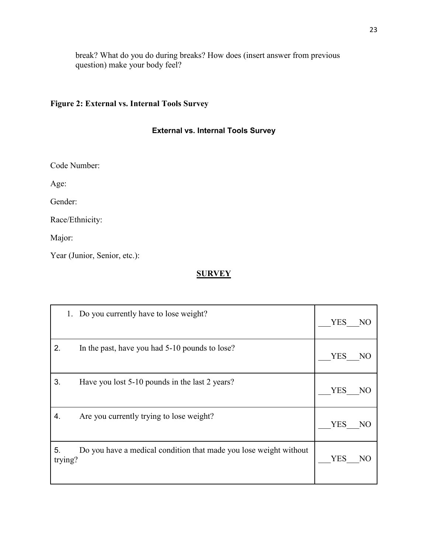break? What do you do during breaks? How does (insert answer from previous question) make your body feel?

### **Figure 2: External vs. Internal Tools Survey**

### **External vs. Internal Tools Survey**

Code Number:

Age:

Gender:

Race/Ethnicity:

Major:

Year (Junior, Senior, etc.):

## **SURVEY**

| Do you currently have to lose weight?                                              | <b>YES</b> |
|------------------------------------------------------------------------------------|------------|
| 1.                                                                                 | NO         |
| 2.                                                                                 | <b>YES</b> |
| In the past, have you had 5-10 pounds to lose?                                     | NO         |
| 3.                                                                                 | <b>YES</b> |
| Have you lost 5-10 pounds in the last 2 years?                                     | NO         |
| Are you currently trying to lose weight?                                           | <b>YES</b> |
| 4.                                                                                 | NO         |
| 5.<br>Do you have a medical condition that made you lose weight without<br>trying? | YES<br>NO  |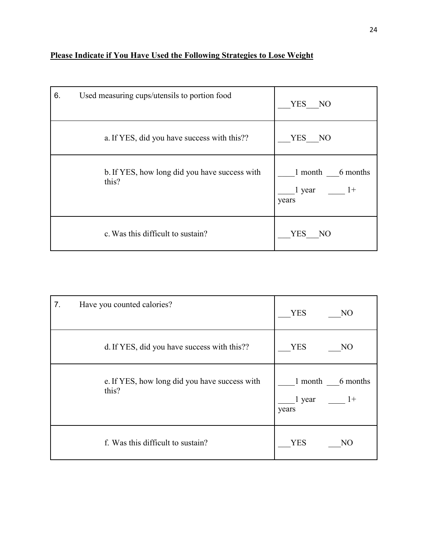## **Please Indicate if You Have Used the Following Strategies to Lose Weight**

| 6. | Used measuring cups/utensils to portion food           | <b>YES</b><br>NO                            |
|----|--------------------------------------------------------|---------------------------------------------|
|    | a. If YES, did you have success with this??            | <b>YES</b><br>N <sub>O</sub>                |
|    | b. If YES, how long did you have success with<br>this? | 1 month 6 months<br>1 year<br>$1+$<br>years |
|    | c. Was this difficult to sustain?                      | <b>YES</b><br>N <sub>O</sub>                |

| 7. | Have you counted calories?                             | <b>YES</b><br>N <sub>O</sub>                   |
|----|--------------------------------------------------------|------------------------------------------------|
|    | d. If YES, did you have success with this??            | <b>YES</b><br>N <sub>O</sub>                   |
|    | e. If YES, how long did you have success with<br>this? | 1 month<br>6 months<br>1 year<br>$1+$<br>years |
|    | f. Was this difficult to sustain?                      | <b>YES</b><br>NО                               |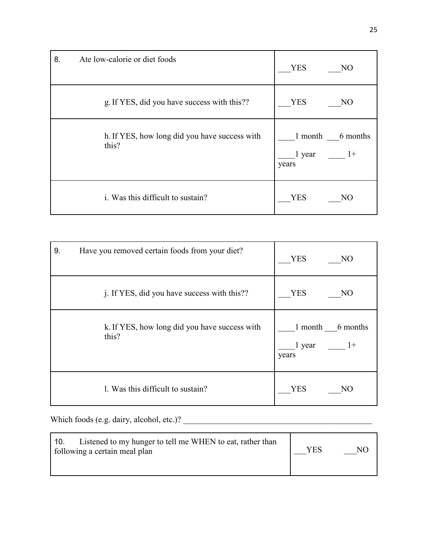| 8. | Ate low-calorie or diet foods                          | <b>YES</b><br>N <sub>O</sub>                   |
|----|--------------------------------------------------------|------------------------------------------------|
|    | g. If YES, did you have success with this??            | <b>YES</b><br>NO                               |
|    | h. If YES, how long did you have success with<br>this? | 1 month<br>6 months<br>1 year<br>$1+$<br>years |
|    | i. Was this difficult to sustain?                      | YES<br>NO                                      |

| 9. | Have you removed certain foods from your diet?         | <b>YES</b><br>N <sub>O</sub>                   |
|----|--------------------------------------------------------|------------------------------------------------|
|    | j. If YES, did you have success with this??            | <b>YES</b><br>N <sub>O</sub>                   |
|    | k. If YES, how long did you have success with<br>this? | 1 month<br>6 months<br>1 year<br>$1+$<br>years |
|    | 1. Was this difficult to sustain?                      | <b>YES</b><br>NО                               |

Which foods (e.g. dairy, alcohol, etc.)? \_\_\_\_\_\_\_\_\_\_\_\_\_\_\_\_\_\_\_\_\_\_\_\_\_\_\_\_\_\_\_\_\_\_\_\_\_\_\_\_\_\_\_\_\_

| Listened to my hunger to tell me WHEN to eat, rather than<br>10.<br>following a certain meal plan | VFS | NU |
|---------------------------------------------------------------------------------------------------|-----|----|
|---------------------------------------------------------------------------------------------------|-----|----|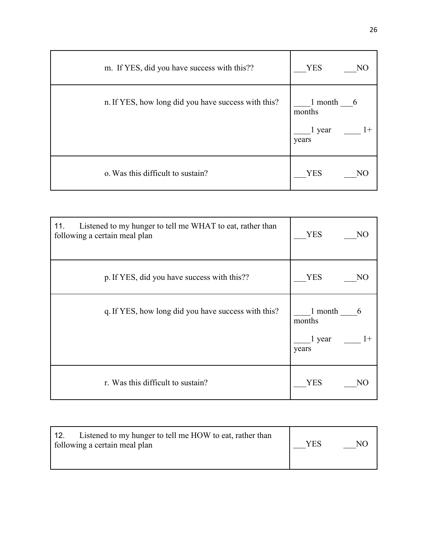| m. If YES, did you have success with this??         | <b>YES</b><br>NO                                  |
|-----------------------------------------------------|---------------------------------------------------|
| n. If YES, how long did you have success with this? | 1 month<br>6<br>months<br>$1+$<br>1 year<br>years |
| o. Was this difficult to sustain?                   | <b>YES</b>                                        |

| Listened to my hunger to tell me WHAT to eat, rather than<br>11.<br>following a certain meal plan | <b>YES</b><br>NO                                  |
|---------------------------------------------------------------------------------------------------|---------------------------------------------------|
| p. If YES, did you have success with this??                                                       | <b>YES</b><br>NO                                  |
| q. If YES, how long did you have success with this?                                               | 1 month<br>6<br>months<br>1 year<br>$1+$<br>years |
| r. Was this difficult to sustain?                                                                 | YES<br>NO                                         |

| Listened to my hunger to tell me HOW to eat, rather than<br>12.<br>following a certain meal plan | YES | NO. |
|--------------------------------------------------------------------------------------------------|-----|-----|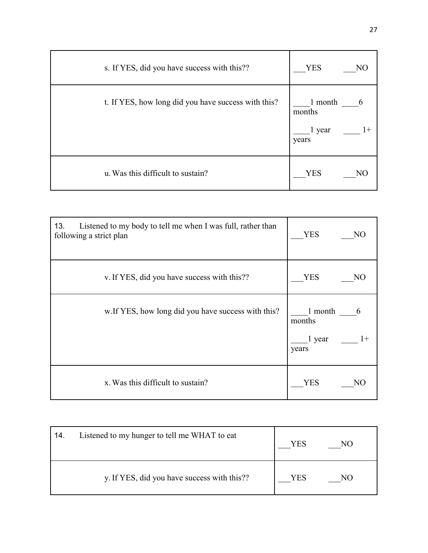| s. If YES, did you have success with this??         | <b>YES</b><br>NO                             |
|-----------------------------------------------------|----------------------------------------------|
| t. If YES, how long did you have success with this? | 1 month<br>months<br>1 year<br>$1+$<br>years |
| u. Was this difficult to sustain?                   | <b>YES</b><br>NΟ                             |

| Listened to my body to tell me when I was full, rather than<br>13.<br>following a strict plan | <b>YES</b><br>NO                                  |
|-----------------------------------------------------------------------------------------------|---------------------------------------------------|
| v. If YES, did you have success with this??                                                   | <b>YES</b><br>NO                                  |
| w. If YES, how long did you have success with this?                                           | 1 month<br>6<br>months<br>1 year<br>$1+$<br>years |
| x. Was this difficult to sustain?                                                             | <b>YES</b><br>NO                                  |

| 14. | Listened to my hunger to tell me WHAT to eat | YES | NO |
|-----|----------------------------------------------|-----|----|
|     | y. If YES, did you have success with this??  | YES | NО |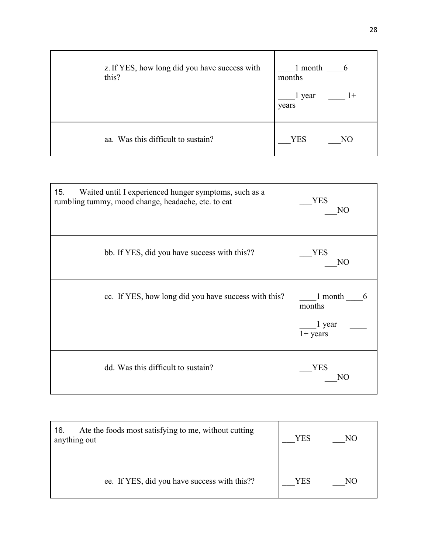| z. If YES, how long did you have success with<br>this? | 1 month<br>6<br>months<br>$1+$<br>1 year<br>years |
|--------------------------------------------------------|---------------------------------------------------|
| aa. Was this difficult to sustain?                     | <b>YES</b><br>N <sub>O</sub>                      |

| Waited until I experienced hunger symptoms, such as a<br>15.<br>rumbling tummy, mood change, headache, etc. to eat | <b>YES</b><br>N <sub>O</sub>                   |
|--------------------------------------------------------------------------------------------------------------------|------------------------------------------------|
| bb. If YES, did you have success with this??                                                                       | <b>YES</b><br>NO                               |
| cc. If YES, how long did you have success with this?                                                               | 1 month<br>6<br>months<br>1 year<br>$1+$ years |
| dd. Was this difficult to sustain?                                                                                 | YES<br>NO                                      |

| Ate the foods most satisfying to me, without cutting<br>16.<br>anything out | <b>YES</b> | NO. |
|-----------------------------------------------------------------------------|------------|-----|
| ee. If YES, did you have success with this??                                | YES        | N() |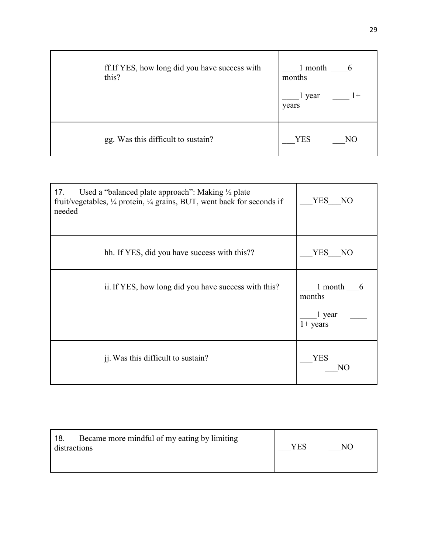| ff. If YES, how long did you have success with<br>this? | 1 month<br>6<br>months<br>$1+$<br>l year<br>years |
|---------------------------------------------------------|---------------------------------------------------|
| gg. Was this difficult to sustain?                      | <b>YES</b><br>NO                                  |

| Used a "balanced plate approach": Making 1/2 plate<br>17.<br>fruit/vegetables, $\frac{1}{4}$ protein, $\frac{1}{4}$ grains, BUT, went back for seconds if<br>needed | <b>YES</b><br>NO                               |
|---------------------------------------------------------------------------------------------------------------------------------------------------------------------|------------------------------------------------|
| hh. If YES, did you have success with this??                                                                                                                        | YES<br>NO                                      |
| ii. If YES, how long did you have success with this?                                                                                                                | 1 month<br>6<br>months<br>1 year<br>$1+$ years |
| j. Was this difficult to sustain?                                                                                                                                   | <b>YES</b><br>NC.                              |

| Became more mindful of my eating by limiting<br>18.<br>distractions |  | YES. | NO |  |
|---------------------------------------------------------------------|--|------|----|--|
|                                                                     |  |      |    |  |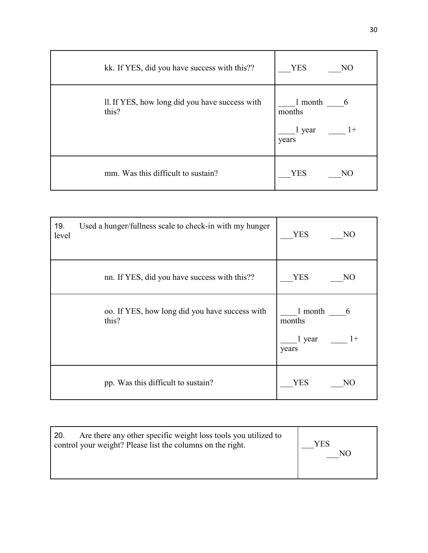| kk. If YES, did you have success with this??            | <b>YES</b><br>NO                                  |
|---------------------------------------------------------|---------------------------------------------------|
| Il. If YES, how long did you have success with<br>this? | 1 month<br>6<br>months<br>$1+$<br>1 year<br>years |
| mm. Was this difficult to sustain?                      | <b>YES</b><br>NO                                  |

| 19.<br>level | Used a hunger/fullness scale to check-in with my hunger | <b>YES</b><br>NO                                  |
|--------------|---------------------------------------------------------|---------------------------------------------------|
|              | nn. If YES, did you have success with this??            | <b>YES</b><br>NO                                  |
|              | oo. If YES, how long did you have success with<br>this? | 1 month<br>6<br>months<br>1 year<br>$1+$<br>years |
|              | pp. Was this difficult to sustain?                      | YES<br>NΟ                                         |

| Are there any other specific weight loss tools you utilized to<br>20.<br>YES<br>control your weight? Please list the columns on the right. |  |
|--------------------------------------------------------------------------------------------------------------------------------------------|--|
|--------------------------------------------------------------------------------------------------------------------------------------------|--|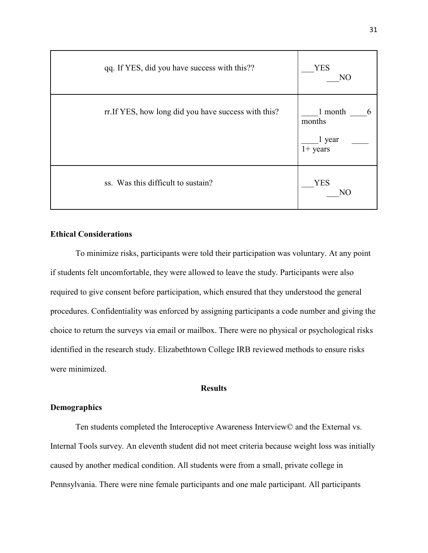| qq. If YES, did you have success with this??         | <b>YES</b><br>NO                               |
|------------------------------------------------------|------------------------------------------------|
| rr. If YES, how long did you have success with this? | 1 month<br>6<br>months<br>1 year<br>$1+$ years |
| ss. Was this difficult to sustain?                   | <b>YES</b><br>NΟ                               |

#### **Ethical Considerations**

To minimize risks, participants were told their participation was voluntary. At any point if students felt uncomfortable, they were allowed to leave the study. Participants were also required to give consent before participation, which ensured that they understood the general procedures. Confidentiality was enforced by assigning participants a code number and giving the choice to return the surveys via email or mailbox. There were no physical or psychological risks identified in the research study. Elizabethtown College IRB reviewed methods to ensure risks were minimized.

### **Results**

#### **Demographics**

Ten students completed the Interoceptive Awareness Interview© and the External vs. Internal Tools survey. An eleventh student did not meet criteria because weight loss was initially caused by another medical condition. All students were from a small, private college in Pennsylvania. There were nine female participants and one male participant. All participants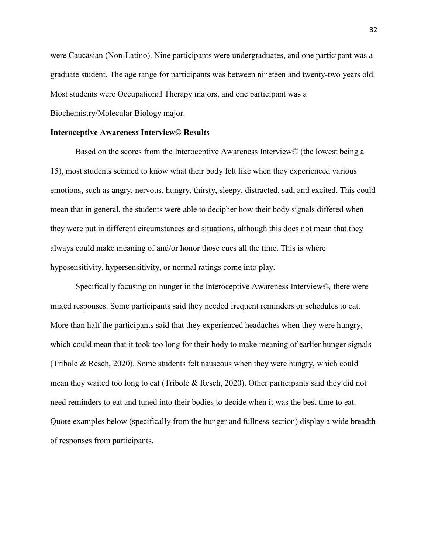were Caucasian (Non-Latino). Nine participants were undergraduates, and one participant was a graduate student. The age range for participants was between nineteen and twenty-two years old. Most students were Occupational Therapy majors, and one participant was a Biochemistry/Molecular Biology major.

#### **Interoceptive Awareness Interview© Results**

Based on the scores from the Interoceptive Awareness Interview*©* (the lowest being a 15), most students seemed to know what their body felt like when they experienced various emotions, such as angry, nervous, hungry, thirsty, sleepy, distracted, sad, and excited. This could mean that in general, the students were able to decipher how their body signals differed when they were put in different circumstances and situations, although this does not mean that they always could make meaning of and/or honor those cues all the time. This is where hyposensitivity, hypersensitivity, or normal ratings come into play.

Specifically focusing on hunger in the Interoceptive Awareness Interview*©,* there were mixed responses. Some participants said they needed frequent reminders or schedules to eat. More than half the participants said that they experienced headaches when they were hungry, which could mean that it took too long for their body to make meaning of earlier hunger signals (Tribole & Resch, 2020). Some students felt nauseous when they were hungry, which could mean they waited too long to eat (Tribole & Resch, 2020). Other participants said they did not need reminders to eat and tuned into their bodies to decide when it was the best time to eat. Quote examples below (specifically from the hunger and fullness section) display a wide breadth of responses from participants.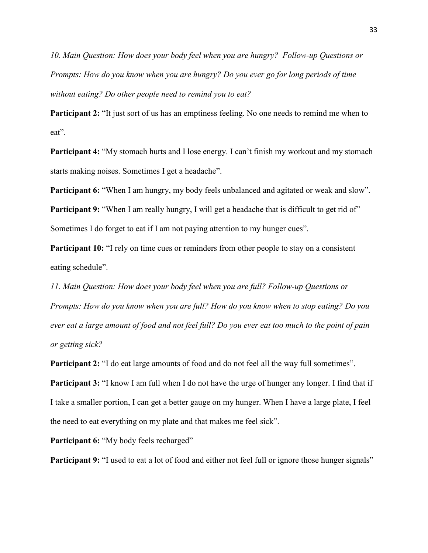*10. Main Question: How does your body feel when you are hungry? Follow-up Questions or Prompts: How do you know when you are hungry? Do you ever go for long periods of time without eating? Do other people need to remind you to eat?* 

**Participant 2:** "It just sort of us has an emptiness feeling. No one needs to remind me when to eat".

**Participant 4:** "My stomach hurts and I lose energy. I can't finish my workout and my stomach starts making noises. Sometimes I get a headache".

**Participant 6:** "When I am hungry, my body feels unbalanced and agitated or weak and slow".

**Participant 9:** "When I am really hungry, I will get a headache that is difficult to get rid of" Sometimes I do forget to eat if I am not paying attention to my hunger cues".

**Participant 10:** "I rely on time cues or reminders from other people to stay on a consistent eating schedule".

*11. Main Question: How does your body feel when you are full? Follow-up Questions or Prompts: How do you know when you are full? How do you know when to stop eating? Do you ever eat a large amount of food and not feel full? Do you ever eat too much to the point of pain or getting sick?*

**Participant 2:** "I do eat large amounts of food and do not feel all the way full sometimes".

**Participant 3:** "I know I am full when I do not have the urge of hunger any longer. I find that if I take a smaller portion, I can get a better gauge on my hunger. When I have a large plate, I feel the need to eat everything on my plate and that makes me feel sick".

Participant 6: "My body feels recharged"

**Participant 9:** "I used to eat a lot of food and either not feel full or ignore those hunger signals"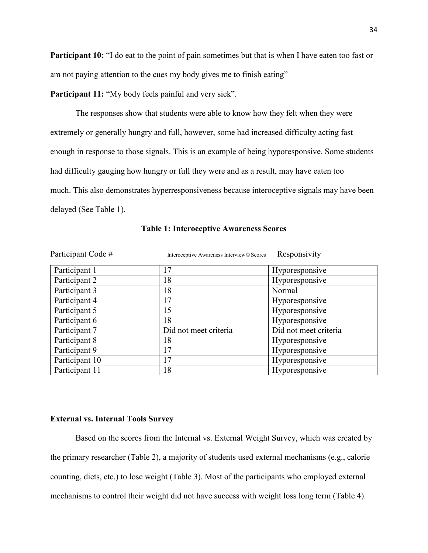**Participant 10:** "I do eat to the point of pain sometimes but that is when I have eaten too fast or am not paying attention to the cues my body gives me to finish eating"

**Participant 11:** "My body feels painful and very sick".

The responses show that students were able to know how they felt when they were extremely or generally hungry and full, however, some had increased difficulty acting fast enough in response to those signals. This is an example of being hyporesponsive. Some students had difficulty gauging how hungry or full they were and as a result, may have eaten too much. This also demonstrates hyperresponsiveness because interoceptive signals may have been delayed (See Table 1).

| Participant Code # | Interoceptive Awareness Interview© Scores | Responsivity          |
|--------------------|-------------------------------------------|-----------------------|
| Participant 1      | 17                                        | Hyporesponsive        |
| Participant 2      | 18                                        | Hyporesponsive        |
| Participant 3      | 18                                        | Normal                |
| Participant 4      | 17                                        | Hyporesponsive        |
| Participant 5      | 15                                        | Hyporesponsive        |
| Participant 6      | 18                                        | Hyporesponsive        |
| Participant 7      | Did not meet criteria                     | Did not meet criteria |
| Participant 8      | 18                                        | Hyporesponsive        |
| Participant 9      | 17                                        | Hyporesponsive        |
| Participant 10     | 17                                        | Hyporesponsive        |
| Participant 11     | 18                                        | Hyporesponsive        |

#### **Table 1: Interoceptive Awareness Scores**

#### **External vs. Internal Tools Survey**

Based on the scores from the Internal vs. External Weight Survey, which was created by the primary researcher (Table 2), a majority of students used external mechanisms (e.g., calorie counting, diets, etc.) to lose weight (Table 3). Most of the participants who employed external mechanisms to control their weight did not have success with weight loss long term (Table 4).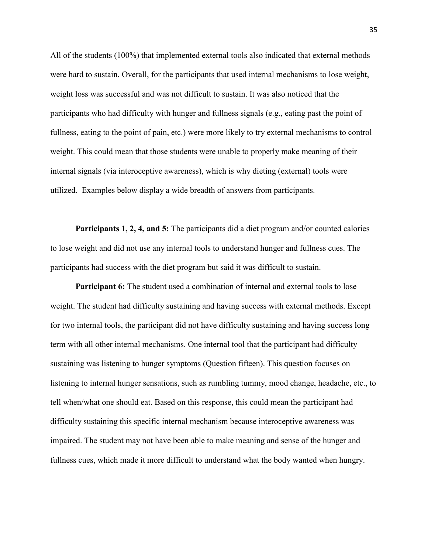All of the students (100%) that implemented external tools also indicated that external methods were hard to sustain. Overall, for the participants that used internal mechanisms to lose weight, weight loss was successful and was not difficult to sustain. It was also noticed that the participants who had difficulty with hunger and fullness signals (e.g., eating past the point of fullness, eating to the point of pain, etc.) were more likely to try external mechanisms to control weight. This could mean that those students were unable to properly make meaning of their internal signals (via interoceptive awareness), which is why dieting (external) tools were utilized. Examples below display a wide breadth of answers from participants.

**Participants 1, 2, 4, and 5:** The participants did a diet program and/or counted calories to lose weight and did not use any internal tools to understand hunger and fullness cues. The participants had success with the diet program but said it was difficult to sustain.

**Participant 6:** The student used a combination of internal and external tools to lose weight. The student had difficulty sustaining and having success with external methods. Except for two internal tools, the participant did not have difficulty sustaining and having success long term with all other internal mechanisms. One internal tool that the participant had difficulty sustaining was listening to hunger symptoms (Question fifteen). This question focuses on listening to internal hunger sensations, such as rumbling tummy, mood change, headache, etc., to tell when/what one should eat. Based on this response, this could mean the participant had difficulty sustaining this specific internal mechanism because interoceptive awareness was impaired. The student may not have been able to make meaning and sense of the hunger and fullness cues, which made it more difficult to understand what the body wanted when hungry.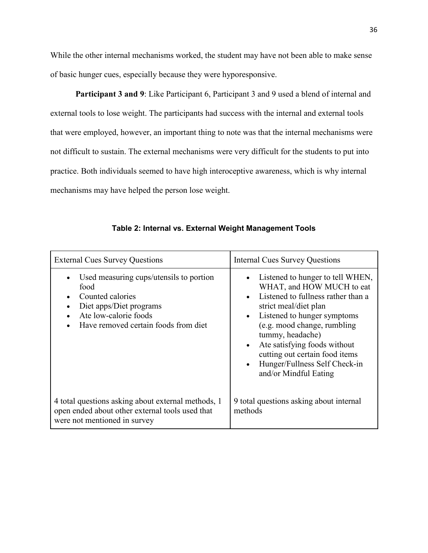While the other internal mechanisms worked, the student may have not been able to make sense of basic hunger cues, especially because they were hyporesponsive.

Participant 3 and 9: Like Participant 6, Participant 3 and 9 used a blend of internal and external tools to lose weight. The participants had success with the internal and external tools that were employed, however, an important thing to note was that the internal mechanisms were not difficult to sustain. The external mechanisms were very difficult for the students to put into practice. Both individuals seemed to have high interoceptive awareness, which is why internal mechanisms may have helped the person lose weight.

| <b>External Cues Survey Questions</b>                                                                                                                           | <b>Internal Cues Survey Questions</b>                                                                                                                                                                                                                                                                                                                                |
|-----------------------------------------------------------------------------------------------------------------------------------------------------------------|----------------------------------------------------------------------------------------------------------------------------------------------------------------------------------------------------------------------------------------------------------------------------------------------------------------------------------------------------------------------|
| Used measuring cups/utensils to portion<br>food<br>Counted calories<br>Diet apps/Diet programs<br>Ate low-calorie foods<br>Have removed certain foods from diet | Listened to hunger to tell WHEN,<br>WHAT, and HOW MUCH to eat<br>Listened to fullness rather than a<br>strict meal/diet plan<br>Listened to hunger symptoms<br>$\bullet$<br>(e.g. mood change, rumbling<br>tummy, headache)<br>Ate satisfying foods without<br>$\bullet$<br>cutting out certain food items<br>Hunger/Fullness Self Check-in<br>and/or Mindful Eating |
| 4 total questions asking about external methods, 1<br>open ended about other external tools used that<br>were not mentioned in survey                           | 9 total questions asking about internal<br>methods                                                                                                                                                                                                                                                                                                                   |

**Table 2: Internal vs. External Weight Management Tools**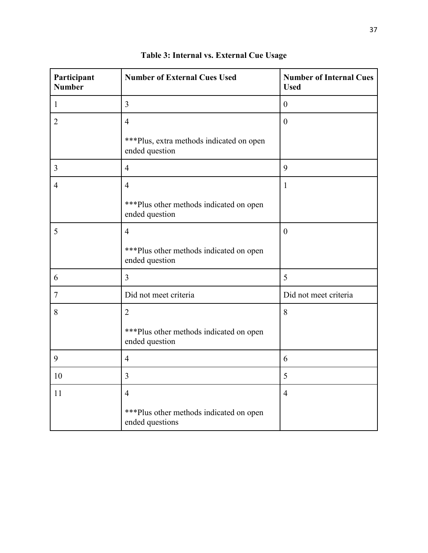| Participant<br><b>Number</b> | <b>Number of External Cues Used</b>                         | <b>Number of Internal Cues</b><br><b>Used</b> |
|------------------------------|-------------------------------------------------------------|-----------------------------------------------|
| $\mathbf{1}$                 | $\overline{3}$                                              | $\boldsymbol{0}$                              |
| $\overline{2}$               | $\overline{4}$                                              | $\boldsymbol{0}$                              |
|                              | *** Plus, extra methods indicated on open<br>ended question |                                               |
| 3                            | $\overline{4}$                                              | 9                                             |
| $\overline{4}$               | $\overline{4}$                                              | $\mathbf{1}$                                  |
|                              | *** Plus other methods indicated on open<br>ended question  |                                               |
| 5                            | $\overline{4}$                                              | $\boldsymbol{0}$                              |
|                              | *** Plus other methods indicated on open<br>ended question  |                                               |
| 6                            | $\overline{3}$                                              | 5                                             |
| $\overline{7}$               | Did not meet criteria                                       | Did not meet criteria                         |
| 8                            | $\overline{2}$                                              | 8                                             |
|                              | *** Plus other methods indicated on open<br>ended question  |                                               |
| 9                            | $\overline{4}$                                              | 6                                             |
| 10                           | $\overline{3}$                                              | 5                                             |
| 11                           | $\overline{4}$                                              | $\overline{4}$                                |
|                              | *** Plus other methods indicated on open<br>ended questions |                                               |

| Table 3: Internal vs. External Cue Usage |  |
|------------------------------------------|--|
|------------------------------------------|--|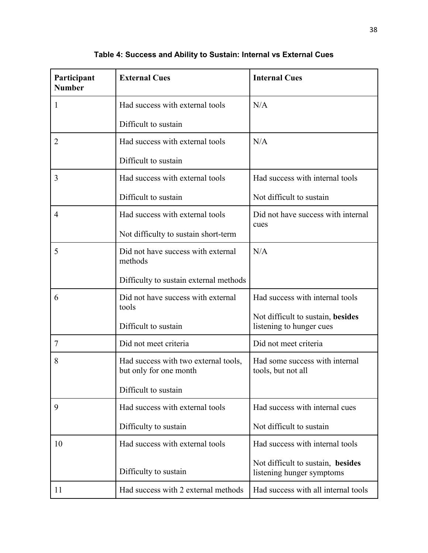| Participant<br><b>Number</b> | <b>External Cues</b>                                           | <b>Internal Cues</b>                                           |
|------------------------------|----------------------------------------------------------------|----------------------------------------------------------------|
| 1                            | Had success with external tools                                | N/A                                                            |
|                              | Difficult to sustain                                           |                                                                |
| 2                            | Had success with external tools                                | N/A                                                            |
|                              | Difficult to sustain                                           |                                                                |
| 3                            | Had success with external tools                                | Had success with internal tools                                |
|                              | Difficult to sustain                                           | Not difficult to sustain                                       |
| $\overline{4}$               | Had success with external tools                                | Did not have success with internal<br>cues                     |
|                              | Not difficulty to sustain short-term                           |                                                                |
| 5                            | Did not have success with external<br>methods                  | N/A                                                            |
|                              | Difficulty to sustain external methods                         |                                                                |
| 6                            | Did not have success with external<br>tools                    | Had success with internal tools                                |
|                              | Difficult to sustain                                           | Not difficult to sustain, besides<br>listening to hunger cues  |
| 7                            | Did not meet criteria                                          | Did not meet criteria                                          |
| 8                            | Had success with two external tools,<br>but only for one month | Had some success with internal<br>tools, but not all           |
|                              | Difficult to sustain                                           |                                                                |
| 9                            | Had success with external tools                                | Had success with internal cues                                 |
|                              | Difficulty to sustain                                          | Not difficult to sustain                                       |
| 10                           | Had success with external tools                                | Had success with internal tools                                |
|                              | Difficulty to sustain                                          | Not difficult to sustain, besides<br>listening hunger symptoms |
| 11                           | Had success with 2 external methods                            | Had success with all internal tools                            |

**Table 4: Success and Ability to Sustain: Internal vs External Cues**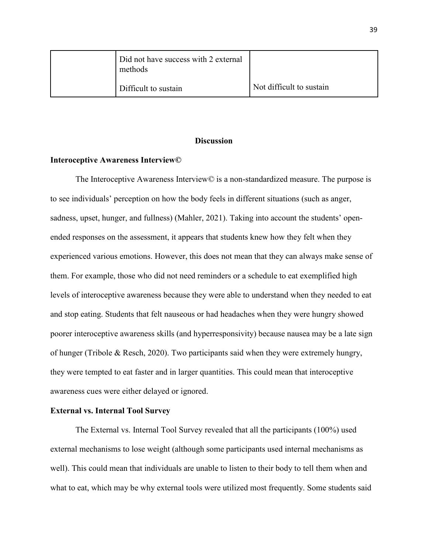| Did not have success with 2 external<br>methods |                          |
|-------------------------------------------------|--------------------------|
| Difficult to sustain                            | Not difficult to sustain |

#### **Discussion**

#### **Interoceptive Awareness Interview©**

The Interoceptive Awareness Interview*©* is a non-standardized measure. The purpose is to see individuals' perception on how the body feels in different situations (such as anger, sadness, upset, hunger, and fullness) (Mahler, 2021). Taking into account the students' openended responses on the assessment, it appears that students knew how they felt when they experienced various emotions. However, this does not mean that they can always make sense of them. For example, those who did not need reminders or a schedule to eat exemplified high levels of interoceptive awareness because they were able to understand when they needed to eat and stop eating. Students that felt nauseous or had headaches when they were hungry showed poorer interoceptive awareness skills (and hyperresponsivity) because nausea may be a late sign of hunger (Tribole & Resch, 2020). Two participants said when they were extremely hungry, they were tempted to eat faster and in larger quantities. This could mean that interoceptive awareness cues were either delayed or ignored.

#### **External vs. Internal Tool Survey**

The External vs. Internal Tool Survey revealed that all the participants (100%) used external mechanisms to lose weight (although some participants used internal mechanisms as well). This could mean that individuals are unable to listen to their body to tell them when and what to eat, which may be why external tools were utilized most frequently. Some students said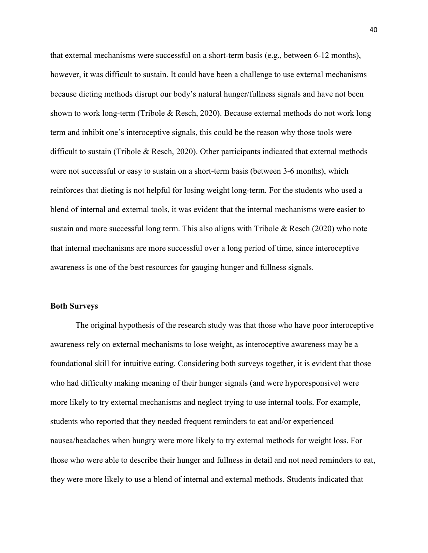that external mechanisms were successful on a short-term basis (e.g., between 6-12 months), however, it was difficult to sustain. It could have been a challenge to use external mechanisms because dieting methods disrupt our body's natural hunger/fullness signals and have not been shown to work long-term (Tribole & Resch, 2020). Because external methods do not work long term and inhibit one's interoceptive signals, this could be the reason why those tools were difficult to sustain (Tribole & Resch, 2020). Other participants indicated that external methods were not successful or easy to sustain on a short-term basis (between 3-6 months), which reinforces that dieting is not helpful for losing weight long-term. For the students who used a blend of internal and external tools, it was evident that the internal mechanisms were easier to sustain and more successful long term. This also aligns with Tribole & Resch (2020) who note that internal mechanisms are more successful over a long period of time, since interoceptive awareness is one of the best resources for gauging hunger and fullness signals.

#### **Both Surveys**

The original hypothesis of the research study was that those who have poor interoceptive awareness rely on external mechanisms to lose weight, as interoceptive awareness may be a foundational skill for intuitive eating. Considering both surveys together, it is evident that those who had difficulty making meaning of their hunger signals (and were hyporesponsive) were more likely to try external mechanisms and neglect trying to use internal tools. For example, students who reported that they needed frequent reminders to eat and/or experienced nausea/headaches when hungry were more likely to try external methods for weight loss. For those who were able to describe their hunger and fullness in detail and not need reminders to eat, they were more likely to use a blend of internal and external methods. Students indicated that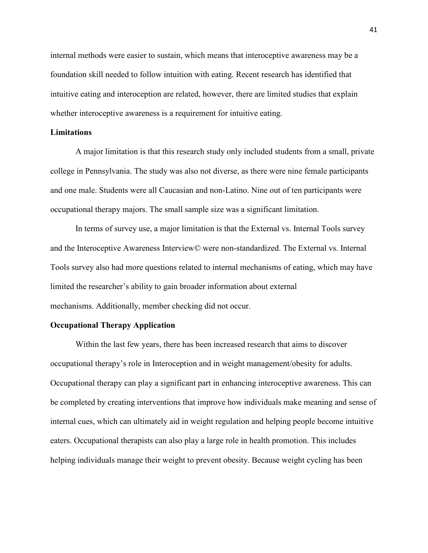internal methods were easier to sustain, which means that interoceptive awareness may be a foundation skill needed to follow intuition with eating. Recent research has identified that intuitive eating and interoception are related, however, there are limited studies that explain whether interoceptive awareness is a requirement for intuitive eating.

#### **Limitations**

A major limitation is that this research study only included students from a small, private college in Pennsylvania. The study was also not diverse, as there were nine female participants and one male. Students were all Caucasian and non-Latino. Nine out of ten participants were occupational therapy majors. The small sample size was a significant limitation.

In terms of survey use, a major limitation is that the External vs. Internal Tools survey and the Interoceptive Awareness Interview*©* were non-standardized. The External vs. Internal Tools survey also had more questions related to internal mechanisms of eating, which may have limited the researcher's ability to gain broader information about external mechanisms. Additionally, member checking did not occur.

#### **Occupational Therapy Application**

Within the last few years, there has been increased research that aims to discover occupational therapy's role in Interoception and in weight management/obesity for adults. Occupational therapy can play a significant part in enhancing interoceptive awareness. This can be completed by creating interventions that improve how individuals make meaning and sense of internal cues, which can ultimately aid in weight regulation and helping people become intuitive eaters. Occupational therapists can also play a large role in health promotion. This includes helping individuals manage their weight to prevent obesity. Because weight cycling has been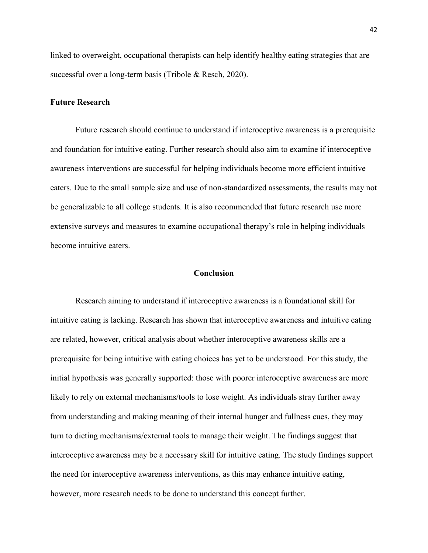linked to overweight, occupational therapists can help identify healthy eating strategies that are successful over a long-term basis (Tribole & Resch, 2020).

#### **Future Research**

Future research should continue to understand if interoceptive awareness is a prerequisite and foundation for intuitive eating. Further research should also aim to examine if interoceptive awareness interventions are successful for helping individuals become more efficient intuitive eaters. Due to the small sample size and use of non-standardized assessments, the results may not be generalizable to all college students. It is also recommended that future research use more extensive surveys and measures to examine occupational therapy's role in helping individuals become intuitive eaters.

#### **Conclusion**

Research aiming to understand if interoceptive awareness is a foundational skill for intuitive eating is lacking. Research has shown that interoceptive awareness and intuitive eating are related, however, critical analysis about whether interoceptive awareness skills are a prerequisite for being intuitive with eating choices has yet to be understood. For this study, the initial hypothesis was generally supported: those with poorer interoceptive awareness are more likely to rely on external mechanisms/tools to lose weight. As individuals stray further away from understanding and making meaning of their internal hunger and fullness cues, they may turn to dieting mechanisms/external tools to manage their weight. The findings suggest that interoceptive awareness may be a necessary skill for intuitive eating. The study findings support the need for interoceptive awareness interventions, as this may enhance intuitive eating, however, more research needs to be done to understand this concept further.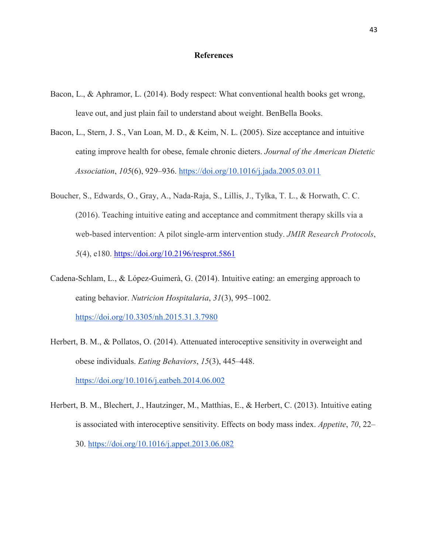#### **References**

- Bacon, L., & Aphramor, L. (2014). Body respect: What conventional health books get wrong, leave out, and just plain fail to understand about weight. BenBella Books.
- Bacon, L., Stern, J. S., Van Loan, M. D., & Keim, N. L. (2005). Size acceptance and intuitive eating improve health for obese, female chronic dieters. *Journal of the American Dietetic Association*, *105*(6), 929–936. <https://doi.org/10.1016/j.jada.2005.03.011>
- Boucher, S., Edwards, O., Gray, A., Nada-Raja, S., Lillis, J., Tylka, T. L., & Horwath, C. C. (2016). Teaching intuitive eating and acceptance and commitment therapy skills via a web-based intervention: A pilot single-arm intervention study. *JMIR Research Protocols*, *5*(4), e180.<https://doi.org/10.2196/resprot.5861>
- Cadena-Schlam, L., & López-Guimerà, G. (2014). Intuitive eating: an emerging approach to eating behavior. *Nutricion Hospitalaria*, *31*(3), 995–1002[.](https://doi.org/10.3305/nh.2015.31.3.7980) <https://doi.org/10.3305/nh.2015.31.3.7980>
- Herbert, B. M., & Pollatos, O. (2014). Attenuated interoceptive sensitivity in overweight and obese individuals. *Eating Behaviors*, *15*(3), 445–448[.](https://doi.org/10.1016/j.eatbeh.2014.06.002) <https://doi.org/10.1016/j.eatbeh.2014.06.002>
- Herbert, B. M., Blechert, J., Hautzinger, M., Matthias, E., & Herbert, C. (2013). Intuitive eating is associated with interoceptive sensitivity. Effects on body mass index. *Appetite*, *70*, 22– 30[.](https://doi.org/10.1016/j.appet.2013.06.082) <https://doi.org/10.1016/j.appet.2013.06.082>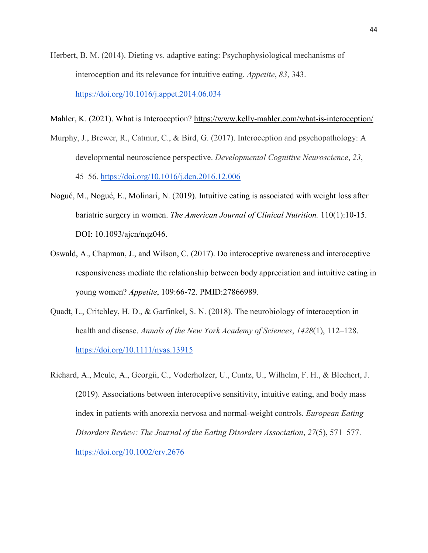Herbert, B. M. (2014). Dieting vs. adaptive eating: Psychophysiological mechanisms of interoception and its relevance for intuitive eating. *Appetite*, *83*, 343[.](https://doi.org/10.1016/j.appet.2014.06.034) <https://doi.org/10.1016/j.appet.2014.06.034>

Mahler, K. (2021). What is Interoception?<https://www.kelly-mahler.com/what-is-interoception/>

- Murphy, J., Brewer, R., Catmur, C., & Bird, G. (2017). Interoception and psychopathology: A developmental neuroscience perspective. *Developmental Cognitive Neuroscience*, *23*, 45–56. <https://doi.org/10.1016/j.dcn.2016.12.006>
- Nogué, M., Nogué, E., Molinari, N. (2019). Intuitive eating is associated with weight loss after bariatric surgery in women. *The American Journal of Clinical Nutrition.* 110(1):10-15. DOI: 10.1093/ajcn/nqz046.
- Oswald, A., Chapman, J., and Wilson, C. (2017). Do interoceptive awareness and interoceptive responsiveness mediate the relationship between body appreciation and intuitive eating in young women? *[Appetite](https://www.ncbi.nlm.nih.gov/pubmed/27866989)*, 109:66-72. PMID:27866989.
- Quadt, L., Critchley, H. D., & Garfinkel, S. N. (2018). The neurobiology of interoception in health and disease. *Annals of the New York Academy of Sciences*, *1428*(1), 112–128[.](https://doi.org/10.1111/nyas.13915) <https://doi.org/10.1111/nyas.13915>
- Richard, A., Meule, A., Georgii, C., Voderholzer, U., Cuntz, U., Wilhelm, F. H., & Blechert, J. (2019). Associations between interoceptive sensitivity, intuitive eating, and body mass index in patients with anorexia nervosa and normal-weight controls. *European Eating Disorders Review: The Journal of the Eating Disorders Association*, *27*(5), 571–577[.](https://doi.org/10.1002/erv.2676) <https://doi.org/10.1002/erv.2676>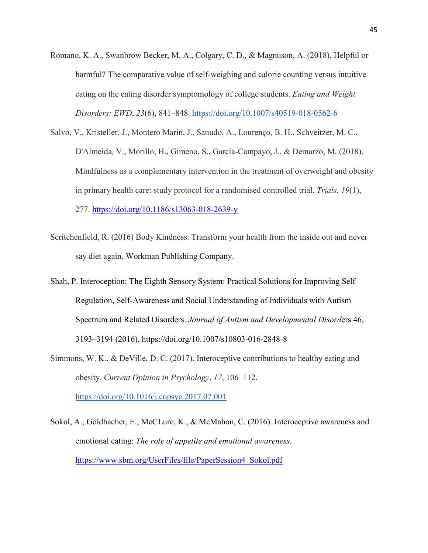- Romano, K. A., Swanbrow Becker, M. A., Colgary, C. D., & Magnuson, A. (2018). Helpful or harmful? The comparative value of self-weighing and calorie counting versus intuitive eating on the eating disorder symptomology of college students. *Eating and Weight Disorders: EWD*, *23*(6), 841–848. <https://doi.org/10.1007/s40519-018-0562-6>
- Salvo, V., Kristeller, J., Montero Marin, J., Sanudo, A., Lourenço, B. H., Schveitzer, M. C., D'Almeida, V., Morillo, H., Gimeno, S., Garcia-Campayo, J., & Demarzo, M. (2018). Mindfulness as a complementary intervention in the treatment of overweight and obesity in primary health care: study protocol for a randomised controlled trial. *Trials*, *19*(1), 277.<https://doi.org/10.1186/s13063-018-2639-y>
- Scritchenfield, R. (2016) Body Kindness. Transform your health from the inside out and never say diet again. Workman Publishing Company.
- Shah, P. Interoception: The Eighth Sensory System: Practical Solutions for Improving Self-Regulation, Self-Awareness and Social Understanding of Individuals with Autism Spectrum and Related Disorders. *Journal of Autism and Developmental Disord*ers 46, 3193–3194 (2016).<https://doi.org/10.1007/s10803-016-2848-8>
- Simmons, W. K., & DeVille, D. C. (2017). Interoceptive contributions to healthy eating and obesity. *Current Opinion in Psychology*, *17*, 106–112[.](https://doi.org/10.1016/j.copsyc.2017.07.001) https://doi.org/10.1016/j.copsyc.2017.07.001
- Sokol, A., Goldbacher, E., McCLure, K., & McMahon, C. (2016). Interoceptive awareness and emotional eating: *The role of appetite and emotional awareness.*  [https://www.sbm.org/UserFiles/file/PaperSession4\\_Sokol.pdf](https://www.sbm.org/UserFiles/file/PaperSession4_Sokol.pdf)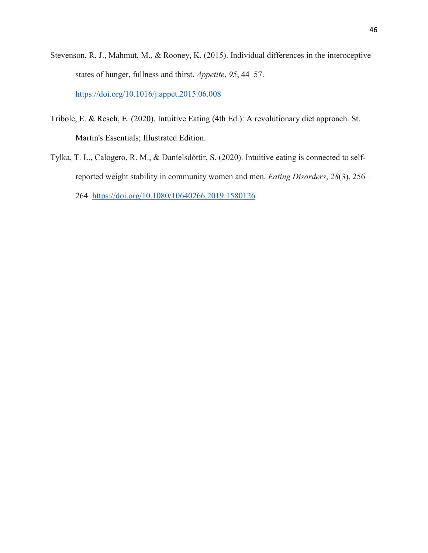- Stevenson, R. J., Mahmut, M., & Rooney, K. (2015). Individual differences in the interoceptive states of hunger, fullness and thirst. *Appetite*, *95*, 44–57[.](https://doi.org/10.1016/j.appet.2015.06.008) <https://doi.org/10.1016/j.appet.2015.06.008>
- Tribole, E. & Resch, E. (2020). Intuitive Eating (4th Ed.): A revolutionary diet approach. St. Martin's Essentials; Illustrated Edition.
- Tylka, T. L., Calogero, R. M., & Daníelsdóttir, S. (2020). Intuitive eating is connected to selfreported weight stability in community women and men. *Eating Disorders*, *28*(3), 256– 264. <https://doi.org/10.1080/10640266.2019.1580126>